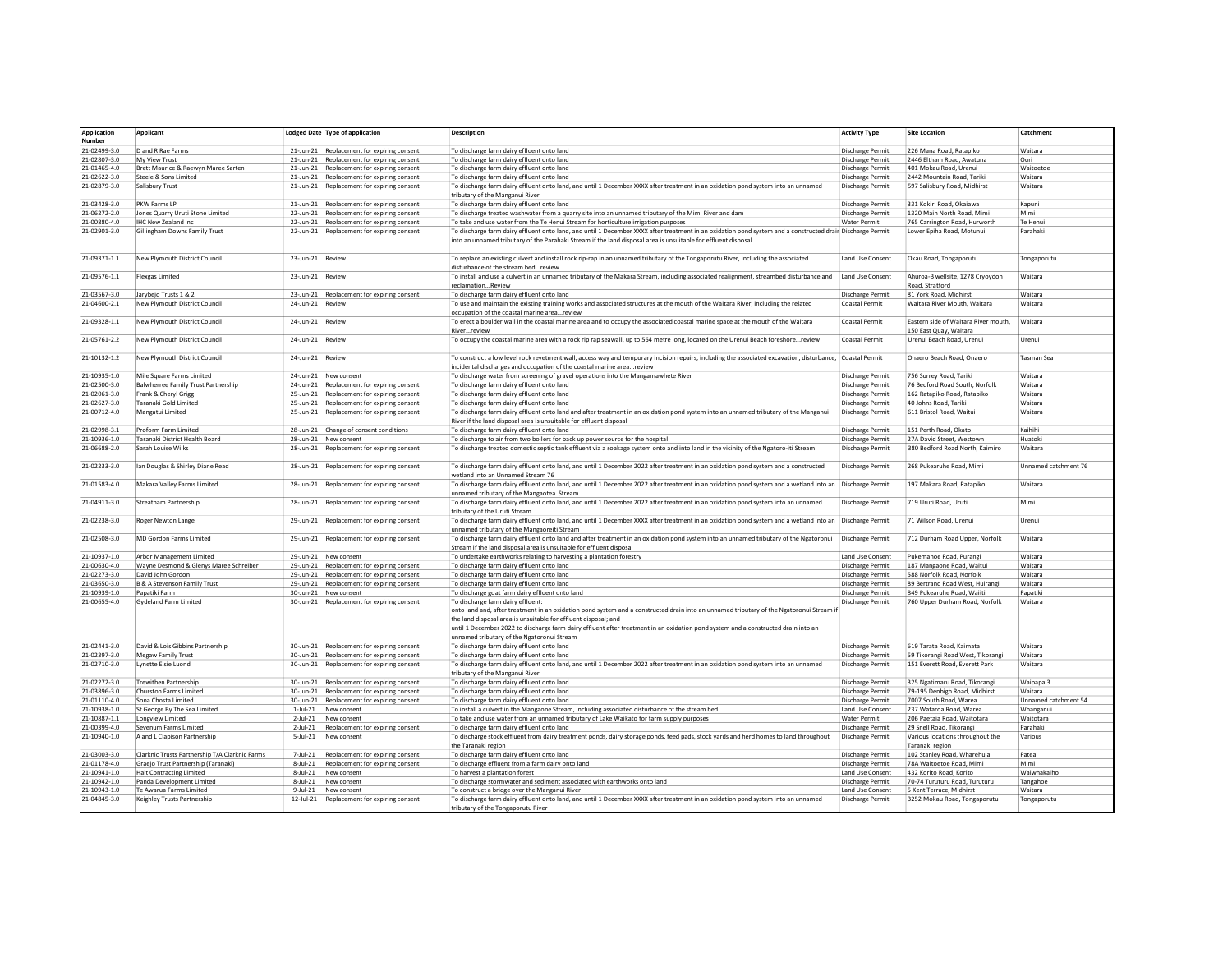| <b>Application</b><br>Number | Applicant                                                              |                  | Lodged Date Type of application                 | <b>Description</b>                                                                                                                                                                                                                                                                                                                                                                                                                   | <b>Activity Type</b>                 | Site Location                                       | Catchment            |
|------------------------------|------------------------------------------------------------------------|------------------|-------------------------------------------------|--------------------------------------------------------------------------------------------------------------------------------------------------------------------------------------------------------------------------------------------------------------------------------------------------------------------------------------------------------------------------------------------------------------------------------------|--------------------------------------|-----------------------------------------------------|----------------------|
| 21-02499-3.0                 | D and R Rae Farms                                                      |                  | 21-Jun-21 Replacement for expiring consent      | To discharge farm dairy effluent onto land                                                                                                                                                                                                                                                                                                                                                                                           | Discharge Permit                     | 226 Mana Road, Ratapiko                             | Waitara              |
| 1-02807-3.0                  | My View Trust                                                          |                  | 21-Jun-21 Replacement for expiring consent      | To discharge farm dairy effluent onto land                                                                                                                                                                                                                                                                                                                                                                                           | <b>Discharge Permit</b>              | 2446 Eltham Road, Awatuna                           | Ouri                 |
| 21-01465-4.0                 | Brett Maurice & Raewyn Maree Sarten                                    |                  | 21-Jun-21 Replacement for expiring consent      | To discharge farm dairy effluent onto land                                                                                                                                                                                                                                                                                                                                                                                           | <b>Discharge Permit</b>              | 401 Mokau Road, Urenui                              | Waitoetor            |
| 21-02622-3.0                 | Steele & Sons Limited                                                  |                  | 21-Jun-21 Replacement for expiring consent      | To discharge farm dairy effluent onto land                                                                                                                                                                                                                                                                                                                                                                                           | <b>Discharge Permit</b>              | 2442 Mountain Road, Tariki                          | Waitara              |
|                              |                                                                        |                  |                                                 |                                                                                                                                                                                                                                                                                                                                                                                                                                      |                                      |                                                     |                      |
| 21-02879-3.0                 | Salisbury Trust                                                        |                  | 21-Jun-21 Replacement for expiring consent      | To discharge farm dairy effluent onto land, and until 1 December XXXX after treatment in an oxidation pond system into an unnamed<br>tributary of the Manganui River                                                                                                                                                                                                                                                                 | Discharge Permit                     | 597 Salisbury Road, Midhirst                        | Waitara              |
| 21-03428-3.0                 | PKW Farms LP                                                           |                  | 21-Jun-21 Replacement for expiring consent      | To discharge farm dairy effluent onto land                                                                                                                                                                                                                                                                                                                                                                                           | Discharge Permit                     | 331 Kokiri Road, Okaiawa                            | Kapuni               |
| 21-06272-2.0                 | Jones Quarry Uruti Stone Limited                                       |                  | 22-Jun-21 Replacement for expiring consent      | To discharge treated washwater from a quarry site into an unnamed tributary of the Mimi River and dam                                                                                                                                                                                                                                                                                                                                | <b>Discharge Permit</b>              | 1320 Main North Road, Mimi                          | Mimi                 |
| 21-00880-4.0                 | <b>IHC New Zealand Inc.</b>                                            |                  | 22-Jun-21 Replacement for expiring consent      | To take and use water from the Te Henui Stream for horticulture irrigation purposes                                                                                                                                                                                                                                                                                                                                                  | <b>Water Permit</b>                  | 765 Carrington Road, Hurworth                       | Te Henui             |
| 21-02901-3.0                 | Gillingham Downs Family Trust                                          |                  | 22-Jun-21 Replacement for expiring consent      | To discharge farm dairy effluent onto land, and until 1 December XXXX after treatment in an oxidation pond system and a constructed drain Discharge Permit<br>into an unnamed tributary of the Parahaki Stream if the land disposal area is unsuitable for effluent disposal                                                                                                                                                         |                                      | Lower Epiha Road, Motunui                           | Parahaki             |
| 21-09371-1.1                 | New Plymouth District Council                                          | 23-Jun-21 Review |                                                 | To replace an existing culvert and install rock rip-rap in an unnamed tributary of the Tongaporutu River, including the associated<br>disturbance of the stream bedreview                                                                                                                                                                                                                                                            | <b>Land Use Consent</b>              | Okau Road, Tongaporutu                              | Tongaporutu          |
| 21-09576-1.1                 | <b>Flexgas Limited</b>                                                 | 23-Jun-21 Review |                                                 | To install and use a culvert in an unnamed tributary of the Makara Stream, including associated realignment, streambed disturbance and<br>reclamationReview                                                                                                                                                                                                                                                                          | Land Use Consent                     | Ahuroa-B wellsite, 1278 Cryoydon<br>Road, Stratford | Waitara              |
| 21-03567-3.0                 | Jarybejo Trusts 1 & 2                                                  |                  | 23-Jun-21 Replacement for expiring consent      | To discharge farm dairy effluent onto land                                                                                                                                                                                                                                                                                                                                                                                           | <b>Discharge Permit</b>              | 81 York Road, Midhirst                              | Waitara              |
| 21-04600-2.1                 | New Plymouth District Council                                          | 24-Jun-21 Review |                                                 | To use and maintain the existing training works and associated structures at the mouth of the Waitara River, including the related                                                                                                                                                                                                                                                                                                   | Coastal Permit                       | Waitara River Mouth, Waitara                        | Waitara              |
| 21-09328-1.1                 | New Plymouth District Council                                          | 24-Jun-21 Review |                                                 | occupation of the coastal marine areareview<br>To erect a boulder wall in the coastal marine area and to occupy the associated coastal marine space at the mouth of the Waitara                                                                                                                                                                                                                                                      | Coastal Permit                       | Eastern side of Waitara River mouth,                | Waitara              |
| 21-05761-2.2                 | New Plymouth District Council                                          | 24-Jun-21 Review |                                                 | Riverreview<br>To occupy the coastal marine area with a rock rip rap seawall, up to 564 metre long, located on the Urenui Beach foreshorereview                                                                                                                                                                                                                                                                                      | Coastal Permit                       | 150 East Quay, Waitara<br>Urenui Beach Road, Urenui | Urenui               |
|                              |                                                                        |                  |                                                 |                                                                                                                                                                                                                                                                                                                                                                                                                                      |                                      |                                                     |                      |
| 21-10132-1.2                 | New Plymouth District Council                                          | 24-Jun-21 Review |                                                 | To construct a low level rock revetment wall, access way and temporary incision repairs, including the associated excavation, disturbance, Coastal Permit<br>incidental discharges and occupation of the coastal marine areareview                                                                                                                                                                                                   |                                      | Onaero Beach Road, Onaero                           | <b>Tasman Sea</b>    |
| 21-10935-1.0                 | Mile Square Farms Limited                                              |                  | 24-Jun-21 New consent                           | To discharge water from screening of gravel operations into the Mangamawhete River                                                                                                                                                                                                                                                                                                                                                   | <b>Discharge Permit</b>              | 756 Surrey Road, Tariki                             | Waitara              |
| 21-02500-3.0                 | Balwherree Family Trust Partnership                                    |                  | 24-Jun-21 Replacement for expiring consent      | To discharge farm dairy effluent onto land                                                                                                                                                                                                                                                                                                                                                                                           | <b>Discharge Permit</b>              | 76 Bedford Road South, Norfolk                      | Waitara              |
| 21-02061-3.0                 | Frank & Cheryl Grigg                                                   |                  | 25-Jun-21 Replacement for expiring consent      | To discharge farm dairy effluent onto land                                                                                                                                                                                                                                                                                                                                                                                           | <b>Discharge Permit</b>              | 162 Ratapiko Road, Ratapiko                         | Waitara              |
| 21-02627-3.0                 | Taranaki Gold Limited                                                  |                  | 25-Jun-21 Replacement for expiring consent      | To discharge farm dairy effluent onto land                                                                                                                                                                                                                                                                                                                                                                                           | <b>Discharge Permit</b>              | 40 Johns Road, Tariki                               | Waitara              |
| 21-00712-4.0                 | Mangatui Limited                                                       |                  | 25-Jun-21 Replacement for expiring consent      | To discharge farm dairy effluent onto land and after treatment in an oxidation pond system into an unnamed tributary of the Manganui<br>River if the land disposal area is unsuitable for effluent disposal                                                                                                                                                                                                                          | Discharge Permit                     | 611 Bristol Road, Waitui                            | Waitara              |
| 21-02998-3.1                 | Proform Farm Limited                                                   |                  | 28-Jun-21 Change of consent conditions          | To discharge farm dairy effluent onto land                                                                                                                                                                                                                                                                                                                                                                                           | <b>Discharge Permit</b>              | 151 Perth Road, Okato                               | Kaihihi              |
| 21-10936-1.0                 | Taranaki District Health Board                                         |                  | 28-Jun-21 New consent                           | To discharge to air from two boilers for back up power source for the hospital                                                                                                                                                                                                                                                                                                                                                       | Discharge Permit                     | 27A David Street, Westown                           | Huatoki              |
| 21-06688-2.0                 | Sarah Louise Wilks                                                     |                  | 28-Jun-21 Replacement for expiring consent      | To discharge treated domestic septic tank effluent via a soakage system onto and into land in the vicinity of the Ngatoro-iti Stream                                                                                                                                                                                                                                                                                                 | Discharge Permit                     | 380 Bedford Road North, Kaimiro                     | Waitara              |
| 21-02233-3.0                 | Ian Douglas & Shirley Diane Read                                       |                  | 28-Jun-21 Replacement for expiring consent      | To discharge farm dairy effluent onto land, and until 1 December 2022 after treatment in an oxidation pond system and a constructed                                                                                                                                                                                                                                                                                                  | <b>Discharge Permit</b>              | 268 Pukearuhe Road, Mimi                            | Unnamed catchment 76 |
| 21-01583-4.0                 | Makara Valley Farms Limited                                            |                  | 28-Jun-21 Replacement for expiring consent      | wetland into an Unnamed Stream 76<br>To discharge farm dairy effluent onto land, and until 1 December 2022 after treatment in an oxidation pond system and a wetland into an Discharge Permit                                                                                                                                                                                                                                        |                                      | 197 Makara Road, Ratapiko                           | Waitara              |
|                              |                                                                        |                  |                                                 | unnamed tributary of the Mangaotea Stream                                                                                                                                                                                                                                                                                                                                                                                            |                                      |                                                     |                      |
| 21-04911-3.0                 | <b>Streatham Partnership</b>                                           |                  | 28-Jun-21 Replacement for expiring consent      | To discharge farm dairy effluent onto land, and until 1 December 2022 after treatment in an oxidation pond system into an unnamed<br>tributary of the Uruti Stream                                                                                                                                                                                                                                                                   | Discharge Permit                     | 719 Uruti Road, Uruti                               | Mimi                 |
| 21-02238-3.0                 | Roger Newton Lange                                                     |                  | 29-Jun-21 Replacement for expiring consent      | To discharge farm dairy effluent onto land, and until 1 December XXXX after treatment in an oxidation pond system and a wetland into an Discharge Permit<br>unnamed tributary of the Mangaoreiti Stream                                                                                                                                                                                                                              |                                      | 71 Wilson Road, Urenui                              | Urenui               |
| 21-02508-3.0                 | MD Gordon Farms Limited                                                |                  | 29-Jun-21 Replacement for expiring consent      | To discharge farm dairy effluent onto land and after treatment in an oxidation pond system into an unnamed tributary of the Ngatoronui Discharge Permit<br>Stream if the land disposal area is unsuitable for effluent disposal                                                                                                                                                                                                      |                                      | 712 Durham Road Upper, Norfolk                      | Waitara              |
| 21-10937-1.0                 | Arbor Management Limited                                               |                  | 29-Jun-21 New consent                           | To undertake earthworks relating to harvesting a plantation forestry                                                                                                                                                                                                                                                                                                                                                                 | Land Use Consent                     | Pukemahoe Road, Purangi                             | <b>Waitara</b>       |
| 21-00630-4.0                 | Wayne Desmond & Glenys Maree Schreiber                                 |                  | 29-Jun-21 Replacement for expiring consent      | To discharge farm dairy effluent onto land                                                                                                                                                                                                                                                                                                                                                                                           | <b>Discharge Permit</b>              | 187 Mangaone Road, Waitui                           | Waitara              |
| 21-02273-3.0                 | David John Gordon                                                      |                  | 29-Jun-21 Replacement for expiring consent      | To discharge farm dairy effluent onto land                                                                                                                                                                                                                                                                                                                                                                                           | <b>Discharge Permit</b>              | 588 Norfolk Road, Norfolk                           | Waitara              |
| 21-03650-3.0                 | <b>B &amp; A Stevenson Family Trust</b>                                |                  | 29-Jun-21 Replacement for expiring consent      | To discharge farm dairy effluent onto land                                                                                                                                                                                                                                                                                                                                                                                           | <b>Discharge Permit</b>              | 89 Bertrand Road West, Huirangi                     | Waitara              |
| 1-10939-1.0                  | Papatiki Farm                                                          |                  | 30-Jun-21 New consent                           | To discharge goat farm dairy effluent onto land                                                                                                                                                                                                                                                                                                                                                                                      | <b>Discharge Permit</b>              | 849 Pukearuhe Road, Waiiti                          | Papatiki             |
| 21-00655-4.0                 | Gydeland Farm Limited                                                  |                  | 30-Jun-21 Replacement for expiring consent      | To discharge farm dairy effluent:<br>onto land and, after treatment in an oxidation pond system and a constructed drain into an unnamed tributary of the Ngatoronui Stream if<br>the land disposal area is unsuitable for effluent disposal; and<br>until 1 December 2022 to discharge farm dairy effluent after treatment in an oxidation pond system and a constructed drain into an<br>unnamed tributary of the Ngatoronui Stream | Discharge Permit                     | 760 Upper Durham Road, Norfolk                      | Waitara              |
| 21-02441-3.0                 | David & Lois Gibbins Partnership                                       |                  | 30-Jun-21 Replacement for expiring consent      | To discharge farm dairy effluent onto land                                                                                                                                                                                                                                                                                                                                                                                           | <b>Discharge Permit</b>              | 619 Tarata Road, Kaimata                            | Waitara              |
| 21-02397-3.0                 | Megaw Family Trust                                                     |                  | 30-Jun-21 Replacement for expiring consent      | To discharge farm dairy effluent onto land                                                                                                                                                                                                                                                                                                                                                                                           | Discharge Permit                     | 59 Tikorangi Road West, Tikorangi                   | Waitara              |
| 21-02710-3.0                 | <b>Lynette Elsie Luond</b>                                             |                  | 30-Jun-21 Replacement for expiring consent      | To discharge farm dairy effluent onto land, and until 1 December 2022 after treatment in an oxidation pond system into an unnamed<br>tributary of the Manganui River                                                                                                                                                                                                                                                                 | Discharge Permit                     | 151 Everett Road, Everett Park                      | Waitara              |
| 21-02272-3.0                 | <b>Trewithen Partnership</b>                                           |                  | 30-Jun-21 Replacement for expiring consent      | To discharge farm dairy effluent onto land                                                                                                                                                                                                                                                                                                                                                                                           | Discharge Permit                     | 325 Neatimaru Road, Tikorangi                       | Wainana 3            |
| 21-03896-3.0                 | Churston Farms Limited                                                 |                  | 30-Jun-21 Replacement for expiring consent      | To discharge farm dairy effluent onto land                                                                                                                                                                                                                                                                                                                                                                                           | <b>Discharge Permit</b>              | 79-195 Denbigh Road, Midhirst                       | Waitara              |
| 21-01110-4.0                 | Sona Chosta Limited                                                    |                  | 30-Jun-21 Replacement for expiring consent      | To discharge farm dairy effluent onto land                                                                                                                                                                                                                                                                                                                                                                                           | Discharge Permit                     | 7007 South Road, Warea                              | Unnamed catchment 54 |
| 21-10938-1.0                 | St George By The Sea Limited                                           |                  | 1-Jul-21 New consent                            | To install a culvert in the Mangaone Stream, including associated disturbance of the stream bed                                                                                                                                                                                                                                                                                                                                      | Land Use Consent                     | 237 Wataroa Road, Warea                             | Whanganui            |
| 21-10887-1.1                 | Longview Limited                                                       | $2$ -Jul-21      | New consent                                     | To take and use water from an unnamed tributary of Lake Waikato for farm supply purposes                                                                                                                                                                                                                                                                                                                                             | <b>Water Permit</b>                  | 206 Paetaia Road, Waitotara                         | Waitotara            |
| 21-00399-4.0                 | Sevenum Farms Limited                                                  | $2-Jul-21$       | Replacement for expiring consent                | To discharge farm dairy effluent onto land                                                                                                                                                                                                                                                                                                                                                                                           | Discharge Permit                     | 29 Snell Road, Tikorangi                            | Parahaki             |
| 21-10940-1.0                 | A and L Clapison Partnership                                           | $5 -$ Jul $-21$  | New consent                                     | To discharge stock effluent from dairy treatment ponds, dairy storage ponds, feed pads, stock yards and herd homes to land throughout<br>the Taranaki region                                                                                                                                                                                                                                                                         | Discharge Permit                     | Various locations throughout the<br>Taranaki region | Various              |
| 21-03003-3.0                 | Clarknic Trusts Partnership T/A Clarknic Farms                         | 7-Jul-21         | Replacement for expiring consent                | To discharge farm dairy effluent onto land                                                                                                                                                                                                                                                                                                                                                                                           | Discharge Permit                     | 102 Stanley Road, Wharehuia                         | Patea                |
| 21-01178-4.0                 |                                                                        | $8$ -Jul-21      |                                                 |                                                                                                                                                                                                                                                                                                                                                                                                                                      |                                      | 78A Waitoetoe Road, Mimi                            | Mimi                 |
| 21-10941-1.0                 | Graejo Trust Partnership (Taranaki)<br><b>Hait Contracting Limited</b> | $8 -$ Jul $-21$  | Replacement for expiring consent<br>New consent | To discharge effluent from a farm dairy onto land<br>To harvest a plantation forest                                                                                                                                                                                                                                                                                                                                                  | Discharge Permit<br>Land Use Consent | 432 Korito Road, Korito                             | Waiwhakaiho          |
| 21-10942-1.0                 | Panda Development Limited                                              | $8-Jul-21$       | New consent                                     | To discharge stormwater and sediment associated with earthworks onto land                                                                                                                                                                                                                                                                                                                                                            | <b>Discharge Permit</b>              | 70-74 Turuturu Road, Turuturu                       | Tangahoe             |
| 21-10943-1.0                 | Te Awarua Farms Limited                                                | $9 -$ Jul $-21$  | New consent                                     | To construct a bridge over the Manganui River                                                                                                                                                                                                                                                                                                                                                                                        | Land Use Consent                     | 5 Kent Terrace, Midhirst                            | Waitara              |
| 21-04845-3.0                 | Keighley Trusts Partnership                                            |                  | 12-Jul-21 Replacement for expiring consent      | To discharge farm dairy effluent onto land, and until 1 December XXXX after treatment in an oxidation pond system into an unnamed<br>tributary of the Tongaporutu River                                                                                                                                                                                                                                                              | Discharge Permit                     | 3252 Mokau Road, Tongaporutu                        | Tongaporutu          |